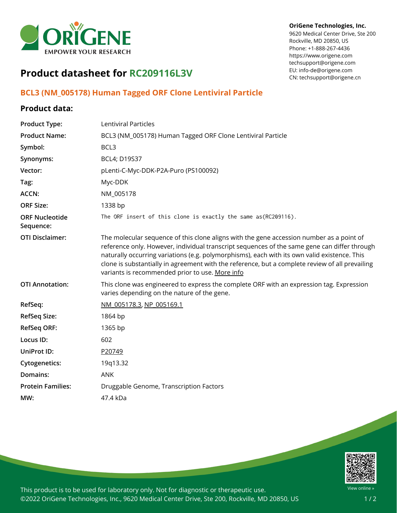

## **OriGene Technologies, Inc.**

9620 Medical Center Drive, Ste 200 Rockville, MD 20850, US Phone: +1-888-267-4436 https://www.origene.com techsupport@origene.com EU: info-de@origene.com CN: techsupport@origene.cn

## **Product datasheet for RC209116L3V**

## **BCL3 (NM\_005178) Human Tagged ORF Clone Lentiviral Particle**

## **Product data:**

| <b>Product Type:</b>               | <b>Lentiviral Particles</b>                                                                                                                                                                                                                                                                                                                                                                                                                    |
|------------------------------------|------------------------------------------------------------------------------------------------------------------------------------------------------------------------------------------------------------------------------------------------------------------------------------------------------------------------------------------------------------------------------------------------------------------------------------------------|
| <b>Product Name:</b>               | BCL3 (NM_005178) Human Tagged ORF Clone Lentiviral Particle                                                                                                                                                                                                                                                                                                                                                                                    |
| Symbol:                            | BCL <sub>3</sub>                                                                                                                                                                                                                                                                                                                                                                                                                               |
| Synonyms:                          | BCL4; D19S37                                                                                                                                                                                                                                                                                                                                                                                                                                   |
| Vector:                            | pLenti-C-Myc-DDK-P2A-Puro (PS100092)                                                                                                                                                                                                                                                                                                                                                                                                           |
| Tag:                               | Myc-DDK                                                                                                                                                                                                                                                                                                                                                                                                                                        |
| ACCN:                              | NM_005178                                                                                                                                                                                                                                                                                                                                                                                                                                      |
| <b>ORF Size:</b>                   | 1338 bp                                                                                                                                                                                                                                                                                                                                                                                                                                        |
| <b>ORF Nucleotide</b><br>Sequence: | The ORF insert of this clone is exactly the same as(RC209116).                                                                                                                                                                                                                                                                                                                                                                                 |
| <b>OTI Disclaimer:</b>             | The molecular sequence of this clone aligns with the gene accession number as a point of<br>reference only. However, individual transcript sequences of the same gene can differ through<br>naturally occurring variations (e.g. polymorphisms), each with its own valid existence. This<br>clone is substantially in agreement with the reference, but a complete review of all prevailing<br>variants is recommended prior to use. More info |
| <b>OTI Annotation:</b>             | This clone was engineered to express the complete ORF with an expression tag. Expression<br>varies depending on the nature of the gene.                                                                                                                                                                                                                                                                                                        |
| RefSeq:                            | NM 005178.3, NP 005169.1                                                                                                                                                                                                                                                                                                                                                                                                                       |
| <b>RefSeq Size:</b>                | 1864 bp                                                                                                                                                                                                                                                                                                                                                                                                                                        |
| <b>RefSeq ORF:</b>                 | 1365 bp                                                                                                                                                                                                                                                                                                                                                                                                                                        |
| Locus ID:                          | 602                                                                                                                                                                                                                                                                                                                                                                                                                                            |
| UniProt ID:                        | P20749                                                                                                                                                                                                                                                                                                                                                                                                                                         |
| <b>Cytogenetics:</b>               | 19q13.32                                                                                                                                                                                                                                                                                                                                                                                                                                       |
| Domains:                           | <b>ANK</b>                                                                                                                                                                                                                                                                                                                                                                                                                                     |
| <b>Protein Families:</b>           | Druggable Genome, Transcription Factors                                                                                                                                                                                                                                                                                                                                                                                                        |
| MW:                                | 47.4 kDa                                                                                                                                                                                                                                                                                                                                                                                                                                       |



This product is to be used for laboratory only. Not for diagnostic or therapeutic use. ©2022 OriGene Technologies, Inc., 9620 Medical Center Drive, Ste 200, Rockville, MD 20850, US